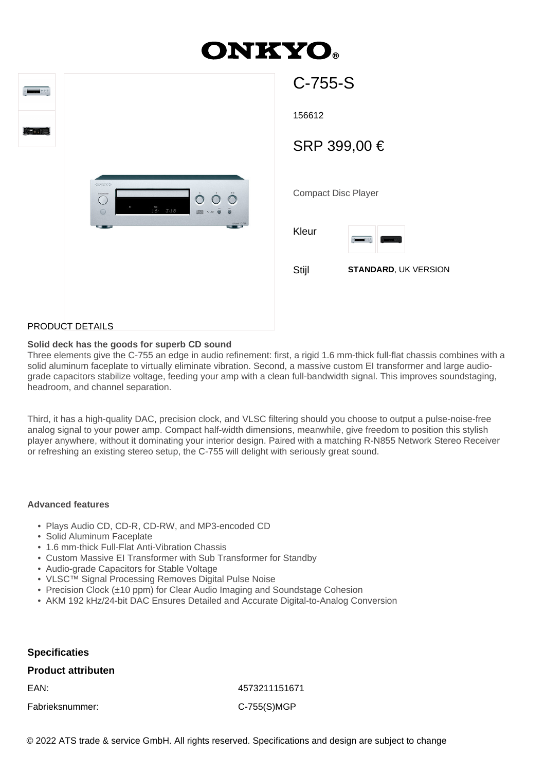# **ONKYO.**

| 0.000 |                                                                                | C-755-S             |
|-------|--------------------------------------------------------------------------------|---------------------|
|       |                                                                                | 156612              |
|       |                                                                                | <b>SRP 399,</b>     |
|       | ONEXTO<br>$\ddot{\circ}$<br>COVENIDO<br>$\bigcap$<br>$1\overline{6}$ .<br>3:18 | Compact Disc I      |
|       | CEAMIN C-750<br>- -                                                            | Kleur<br>$\sqrt{2}$ |
|       |                                                                                | Stijl<br>S          |
|       |                                                                                |                     |

| 156612                     |                             |  |
|----------------------------|-----------------------------|--|
| SRP 399,00 €               |                             |  |
|                            |                             |  |
| <b>Compact Disc Player</b> |                             |  |
| Kleur                      | 0.00                        |  |
| Stijl                      | <b>STANDARD, UK VERSION</b> |  |
|                            |                             |  |
|                            |                             |  |

## PRODUCT DETAILS

### **Solid deck has the goods for superb CD sound**

Three elements give the C-755 an edge in audio refinement: first, a rigid 1.6 mm-thick full-flat chassis combines with a solid aluminum faceplate to virtually eliminate vibration. Second, a massive custom EI transformer and large audiograde capacitors stabilize voltage, feeding your amp with a clean full-bandwidth signal. This improves soundstaging, headroom, and channel separation.

Third, it has a high-quality DAC, precision clock, and VLSC filtering should you choose to output a pulse-noise-free analog signal to your power amp. Compact half-width dimensions, meanwhile, give freedom to position this stylish player anywhere, without it dominating your interior design. Paired with a matching R-N855 Network Stereo Receiver or refreshing an existing stereo setup, the C-755 will delight with seriously great sound.

#### **Advanced features**

- Plays Audio CD, CD-R, CD-RW, and MP3-encoded CD
- Solid Aluminum Faceplate
- 1.6 mm-thick Full-Flat Anti-Vibration Chassis
- Custom Massive EI Transformer with Sub Transformer for Standby
- Audio-grade Capacitors for Stable Voltage
- VLSC™ Signal Processing Removes Digital Pulse Noise
- Precision Clock (±10 ppm) for Clear Audio Imaging and Soundstage Cohesion
- AKM 192 kHz/24-bit DAC Ensures Detailed and Accurate Digital-to-Analog Conversion

#### **Specificaties**

#### **Product attributen**

Fabrieksnummer: C-755(S)MGP

EAN: 4573211151671